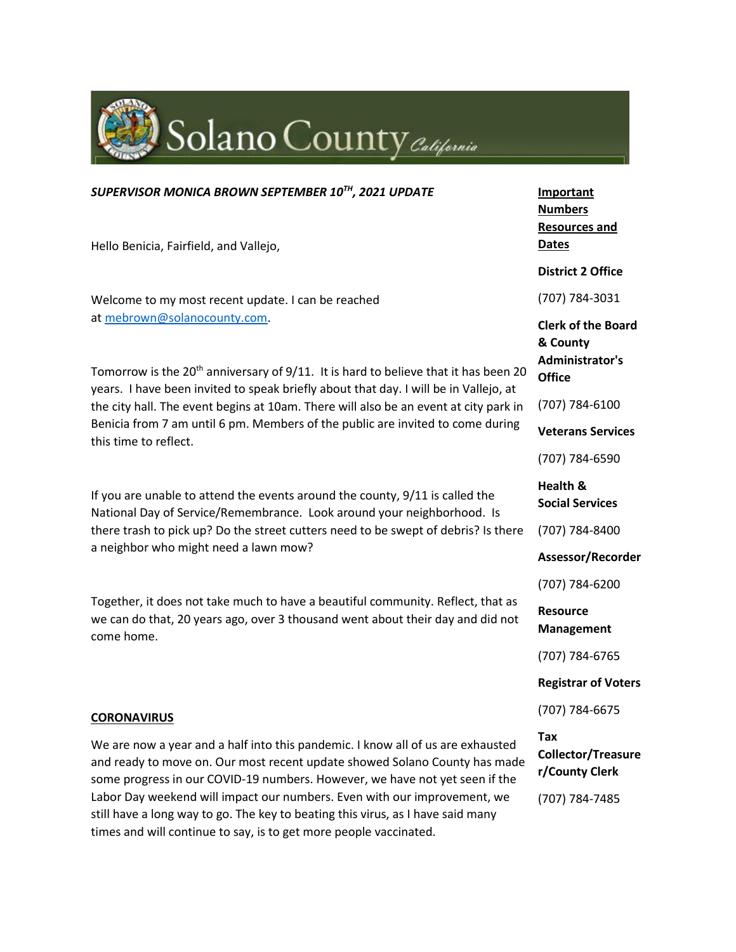

#### *SUPERVISOR MONICA BROWN SEPTEMBER 10TH, 2021 UPDATE*

Hello Benicia, Fairfield, and Vallejo,

Welcome to my most recent update. I can be reached at [mebrown@solanocounty.com.](mailto:mebrown@solanocounty.com)

Tomorrow is the  $20<sup>th</sup>$  anniversary of  $9/11$ . It is hard to believe that it has been 20 years. I have been invited to speak briefly about that day. I will be in Vallejo, at the city hall. The event begins at 10am. There will also be an event at city park in Benicia from 7 am until 6 pm. Members of the public are invited to come during this time to reflect.

If you are unable to attend the events around the county, 9/11 is called the National Day of Service/Remembrance. Look around your neighborhood. Is there trash to pick up? Do the street cutters need to be swept of debris? Is there a neighbor who might need a lawn mow?

Together, it does not take much to have a beautiful community. Reflect, that as we can do that, 20 years ago, over 3 thousand went about their day and did not come home.

#### **CORONAVIRUS**

We are now a year and a half into this pandemic. I know all of us are exhausted and ready to move on. Our most recent update showed Solano County has made some progress in our COVID-19 numbers. However, we have not yet seen if the Labor Day weekend will impact our numbers. Even with our improvement, we still have a long way to go. The key to beating this virus, as I have said many times and will continue to say, is to get more people vaccinated.

**Important Numbers Resources and Dates District 2 Office** (707) 784-3031 **Clerk of the Board & County Administrator's Office** (707) 784-6100 **Veterans Services** (707) 784-6590 **Health & Social Services** (707) 784-8400 **Assessor/Recorder** (707) 784-6200 **Resource Management** (707) 784-6765 **Registrar of Voters** (707) 784-6675 **Tax Collector/Treasure r/County Clerk**

(707) 784-7485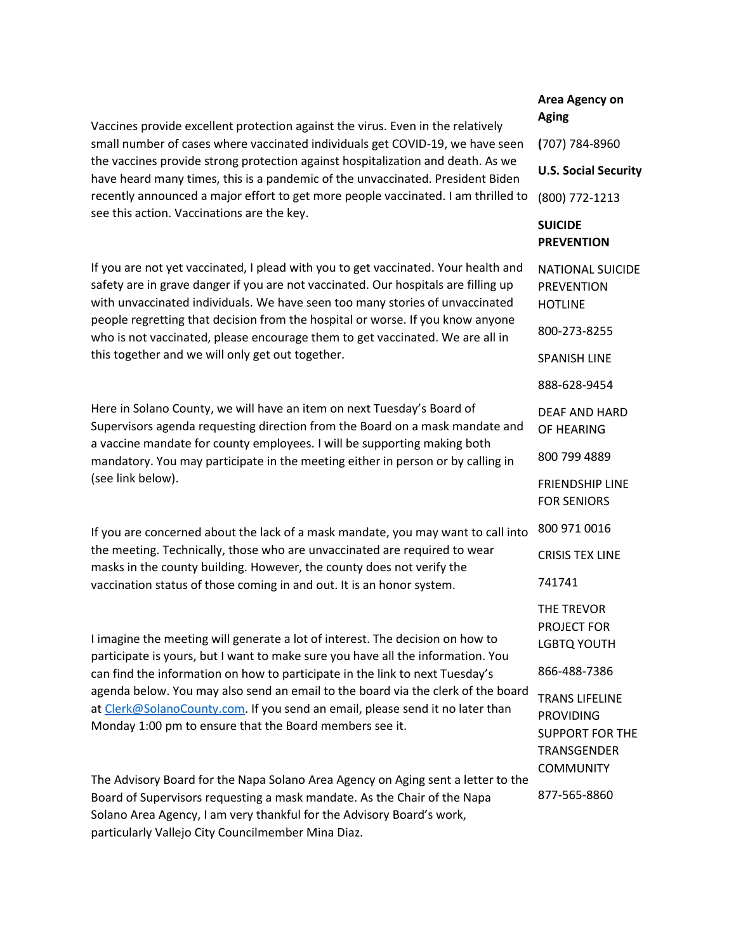Vaccines provide excellent protection against the virus. Even in the relatively small number of cases where vaccinated individuals get COVID-19, we have seen the vaccines provide strong protection against hospitalization and death. As we have heard many times, this is a pandemic of the unvaccinated. President Biden recently announced a major effort to get more people vaccinated. I am thrilled to (800) 772-1213 see this action. Vaccinations are the key.

If you are not yet vaccinated, I plead with you to get vaccinated. Your health and safety are in grave danger if you are not vaccinated. Our hospitals are filling up with unvaccinated individuals. We have seen too many stories of unvaccinated people regretting that decision from the hospital or worse. If you know anyone who is not vaccinated, please encourage them to get vaccinated. We are all in this together and we will only get out together.

Here in Solano County, we will have an item on next Tuesday's Board of Supervisors agenda requesting direction from the Board on a mask mandate and a vaccine mandate for county employees. I will be supporting making both mandatory. You may participate in the meeting either in person or by calling in (see link below).

If you are concerned about the lack of a mask mandate, you may want to call into the meeting. Technically, those who are unvaccinated are required to wear masks in the county building. However, the county does not verify the vaccination status of those coming in and out. It is an honor system.

I imagine the meeting will generate a lot of interest. The decision on how to participate is yours, but I want to make sure you have all the information. You can find the information on how to participate in the link to next Tuesday's agenda below. You may also send an email to the board via the clerk of the board at [Clerk@SolanoCounty.com.](mailto:Clerk@SolanoCounty.com) If you send an email, please send it no later than Monday 1:00 pm to ensure that the Board members see it.

The Advisory Board for the Napa Solano Area Agency on Aging sent a letter to the Board of Supervisors requesting a mask mandate. As the Chair of the Napa Solano Area Agency, I am very thankful for the Advisory Board's work, particularly Vallejo City Councilmember Mina Diaz.

# **Area Agency on Aging**

**(**707) 784-8960

**U.S. Social Security**

## **SUICIDE PREVENTION**

NATIONAL SUICIDE PREVENTION HOTLINE 800-273-8255 SPANISH LINE 888-628-9454 DEAF AND HARD OF HEARING 800 799 4889 FRIENDSHIP LINE FOR SENIORS 800 971 0016 CRISIS TEX LINE 741741 THE TREVOR PROJECT FOR LGBTQ YOUTH 866-488-7386 TRANS LIFELINE PROVIDING SUPPORT FOR THE TRANSGENDER **COMMUNITY** 877-565-8860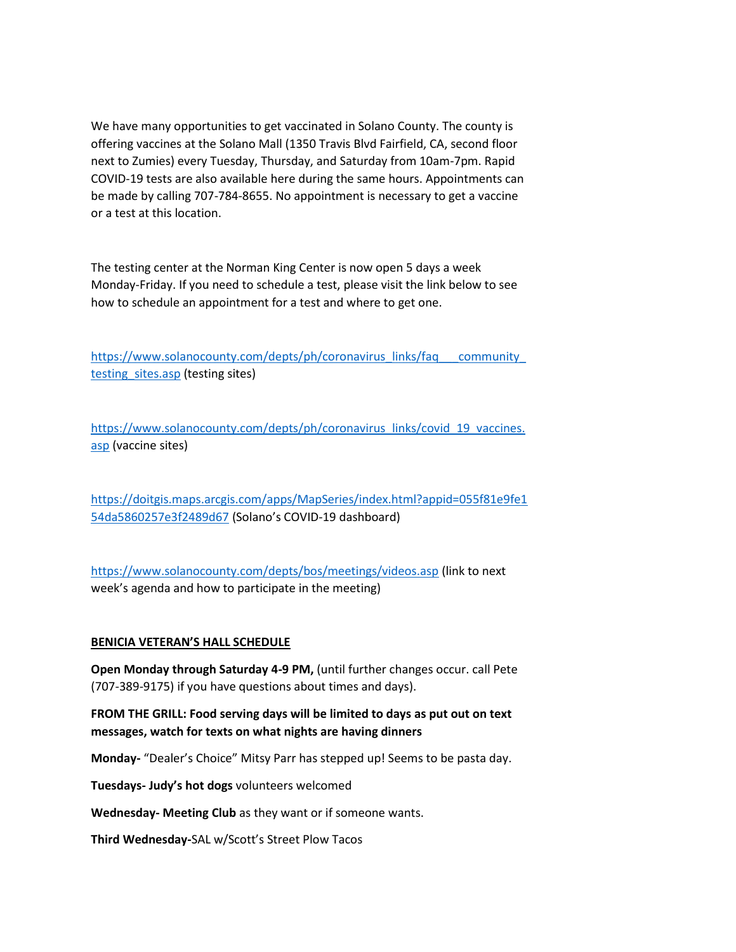We have many opportunities to get vaccinated in Solano County. The county is offering vaccines at the Solano Mall (1350 Travis Blvd Fairfield, CA, second floor next to Zumies) every Tuesday, Thursday, and Saturday from 10am-7pm. Rapid COVID-19 tests are also available here during the same hours. Appointments can be made by calling 707-784-8655. No appointment is necessary to get a vaccine or a test at this location.

The testing center at the Norman King Center is now open 5 days a week Monday-Friday. If you need to schedule a test, please visit the link below to see how to schedule an appointment for a test and where to get one.

[https://www.solanocounty.com/depts/ph/coronavirus\\_links/faq\\_\\_\\_community\\_](https://www.solanocounty.com/depts/ph/coronavirus_links/faq___community_testing_sites.asp) testing sites.asp (testing sites)

[https://www.solanocounty.com/depts/ph/coronavirus\\_links/covid\\_19\\_vaccines.](https://www.solanocounty.com/depts/ph/coronavirus_links/covid_19_vaccines.asp) [asp](https://www.solanocounty.com/depts/ph/coronavirus_links/covid_19_vaccines.asp) (vaccine sites)

[https://doitgis.maps.arcgis.com/apps/MapSeries/index.html?appid=055f81e9fe1](https://doitgis.maps.arcgis.com/apps/MapSeries/index.html?appid=055f81e9fe154da5860257e3f2489d67) [54da5860257e3f2489d67](https://doitgis.maps.arcgis.com/apps/MapSeries/index.html?appid=055f81e9fe154da5860257e3f2489d67) (Solano's COVID-19 dashboard)

<https://www.solanocounty.com/depts/bos/meetings/videos.asp> (link to next week's agenda and how to participate in the meeting)

### **BENICIA VETERAN'S HALL SCHEDULE**

**Open Monday through Saturday 4-9 PM,** (until further changes occur. call Pete (707-389-9175) if you have questions about times and days).

**FROM THE GRILL: Food serving days will be limited to days as put out on text messages, watch for texts on what nights are having dinners**

**Monday-** "Dealer's Choice" Mitsy Parr has stepped up! Seems to be pasta day.

**Tuesdays- Judy's hot dogs** volunteers welcomed

**Wednesday- Meeting Club** as they want or if someone wants.

**Third Wednesday-**SAL w/Scott's Street Plow Tacos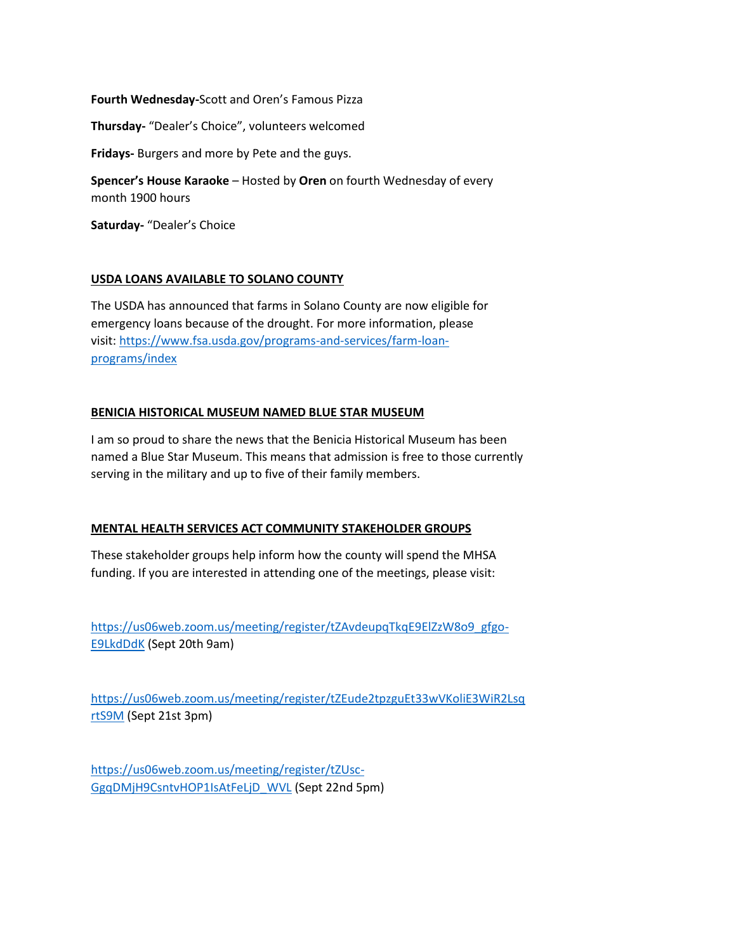### **Fourth Wednesday-**Scott and Oren's Famous Pizza

**Thursday-** "Dealer's Choice", volunteers welcomed

**Fridays-** Burgers and more by Pete and the guys.

**Spencer's House Karaoke** – Hosted by **Oren** on fourth Wednesday of every month 1900 hours

**Saturday-** "Dealer's Choice

### **USDA LOANS AVAILABLE TO SOLANO COUNTY**

The USDA has announced that farms in Solano County are now eligible for emergency loans because of the drought. For more information, please visit: [https://www.fsa.usda.gov/programs-and-services/farm-loan](https://www.fsa.usda.gov/programs-and-services/farm-loan-programs/index)[programs/index](https://www.fsa.usda.gov/programs-and-services/farm-loan-programs/index)

#### **BENICIA HISTORICAL MUSEUM NAMED BLUE STAR MUSEUM**

I am so proud to share the news that the Benicia Historical Museum has been named a Blue Star Museum. This means that admission is free to those currently serving in the military and up to five of their family members.

### **MENTAL HEALTH SERVICES ACT COMMUNITY STAKEHOLDER GROUPS**

These stakeholder groups help inform how the county will spend the MHSA funding. If you are interested in attending one of the meetings, please visit:

[https://us06web.zoom.us/meeting/register/tZAvdeupqTkqE9ElZzW8o9\\_gfgo-](https://us06web.zoom.us/meeting/register/tZAvdeupqTkqE9ElZzW8o9_gfgo-E9LkdDdK)[E9LkdDdK](https://us06web.zoom.us/meeting/register/tZAvdeupqTkqE9ElZzW8o9_gfgo-E9LkdDdK) (Sept 20th 9am)

[https://us06web.zoom.us/meeting/register/tZEude2tpzguEt33wVKoliE3WiR2Lsq](https://us06web.zoom.us/meeting/register/tZEude2tpzguEt33wVKoliE3WiR2LsqrtS9M) [rtS9M](https://us06web.zoom.us/meeting/register/tZEude2tpzguEt33wVKoliE3WiR2LsqrtS9M) (Sept 21st 3pm)

[https://us06web.zoom.us/meeting/register/tZUsc-](https://us06web.zoom.us/meeting/register/tZUsc-GgqDMjH9CsntvHOP1IsAtFeLjD_WVL)[GgqDMjH9CsntvHOP1IsAtFeLjD\\_WVL](https://us06web.zoom.us/meeting/register/tZUsc-GgqDMjH9CsntvHOP1IsAtFeLjD_WVL) (Sept 22nd 5pm)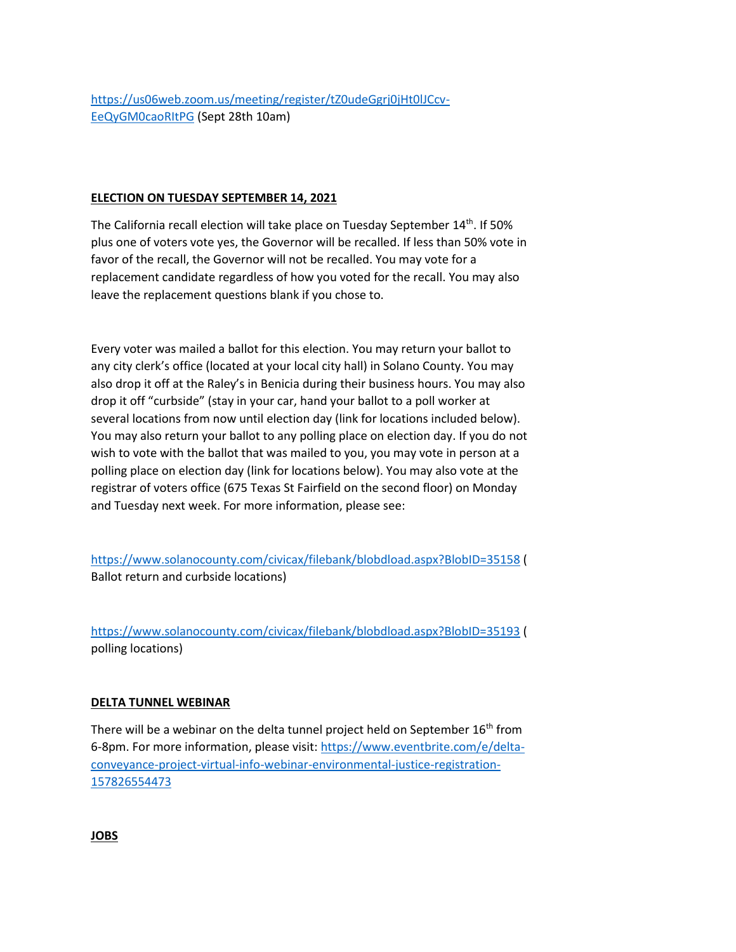### **ELECTION ON TUESDAY SEPTEMBER 14, 2021**

The California recall election will take place on Tuesday September 14<sup>th</sup>. If 50% plus one of voters vote yes, the Governor will be recalled. If less than 50% vote in favor of the recall, the Governor will not be recalled. You may vote for a replacement candidate regardless of how you voted for the recall. You may also leave the replacement questions blank if you chose to.

Every voter was mailed a ballot for this election. You may return your ballot to any city clerk's office (located at your local city hall) in Solano County. You may also drop it off at the Raley's in Benicia during their business hours. You may also drop it off "curbside" (stay in your car, hand your ballot to a poll worker at several locations from now until election day (link for locations included below). You may also return your ballot to any polling place on election day. If you do not wish to vote with the ballot that was mailed to you, you may vote in person at a polling place on election day (link for locations below). You may also vote at the registrar of voters office (675 Texas St Fairfield on the second floor) on Monday and Tuesday next week. For more information, please see:

<https://www.solanocounty.com/civicax/filebank/blobdload.aspx?BlobID=35158> ( Ballot return and curbside locations)

<https://www.solanocounty.com/civicax/filebank/blobdload.aspx?BlobID=35193> ( polling locations)

### **DELTA TUNNEL WEBINAR**

There will be a webinar on the delta tunnel project held on September  $16<sup>th</sup>$  from 6-8pm. For more information, please visit: [https://www.eventbrite.com/e/delta](https://www.eventbrite.com/e/delta-conveyance-project-virtual-info-webinar-environmental-justice-registration-157826554473)[conveyance-project-virtual-info-webinar-environmental-justice-registration-](https://www.eventbrite.com/e/delta-conveyance-project-virtual-info-webinar-environmental-justice-registration-157826554473)[157826554473](https://www.eventbrite.com/e/delta-conveyance-project-virtual-info-webinar-environmental-justice-registration-157826554473)

**JOBS**